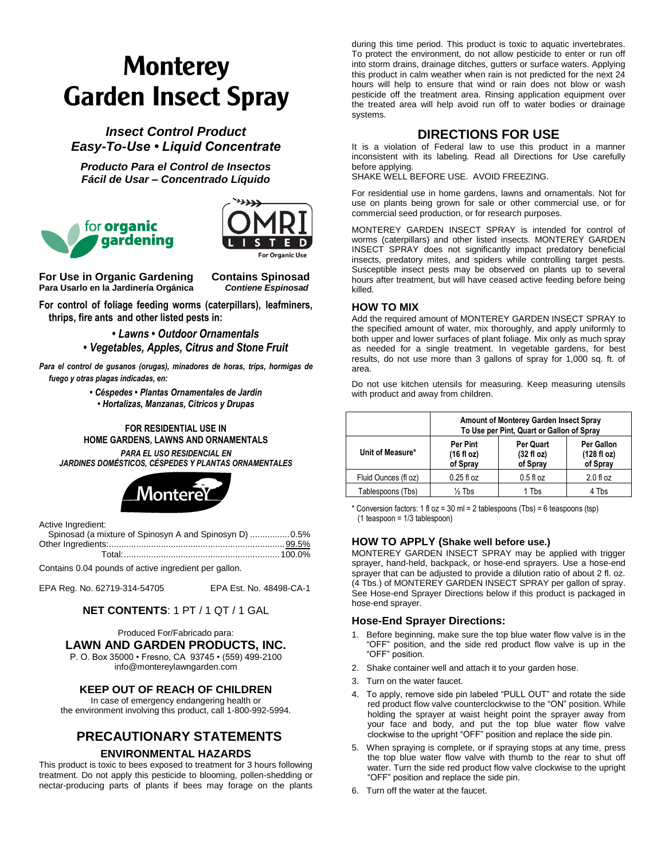# **Monterey Garden Insect Spray**

*Insect Control Product Easy-To-Use • Liquid Concentrate*

*Producto Para el Control de Insectos Fácil de Usar – Concentrado Líquido*





**For Use in Organic Gardening Contains Spinosad Para Usarlo en la Jardinería Orgánica** *Contiene Espinosad*

**For control of foliage feeding worms (caterpillars), leafminers, thrips, fire ants and other listed pests in:**

> *• Lawns • Outdoor Ornamentals • Vegetables, Apples, Citrus and Stone Fruit*

*Para el control de gusanos (orugas), minadores de horas, trips, hormigas de fuego y otras plagas indicadas, en:*

> *• Céspedes • Plantas Ornamentales de Jardín • Hortalizas, Manzanas, Cítricos y Drupas*

## **FOR RESIDENTIAL USE IN HOME GARDENS, LAWNS AND ORNAMENTALS**

*PARA EL USO RESIDENCIAL EN JARDINES DOMÉSTICOS, CÉSPEDES Y PLANTAS ORNAMENTALES*



Active Ingredient:

| Spinosad (a mixture of Spinosyn A and Spinosyn D) 0.5% |  |
|--------------------------------------------------------|--|
|                                                        |  |
|                                                        |  |

Contains 0.04 pounds of active ingredient per gallon.

EPA Reg. No. 62719-314-54705 EPA Est. No. 48498-CA-1

# **NET CONTENTS**: 1 PT / 1 QT / 1 GAL

Produced For/Fabricado para: **LAWN AND GARDEN PRODUCTS, INC.**

P. O. Box 35000 • Fresno, CA 93745 • (559) 499-2100 info@montereylawngarden.com

# **KEEP OUT OF REACH OF CHILDREN**

In case of emergency endangering health or the environment involving this product, call 1-800-992-5994.

# **PRECAUTIONARY STATEMENTS ENVIRONMENTAL HAZARDS**

This product is toxic to bees exposed to treatment for 3 hours following treatment. Do not apply this pesticide to blooming, pollen-shedding or nectar-producing parts of plants if bees may forage on the plants

during this time period. This product is toxic to aquatic invertebrates. To protect the environment, do not allow pesticide to enter or run off into storm drains, drainage ditches, gutters or surface waters. Applying this product in calm weather when rain is not predicted for the next 24 hours will help to ensure that wind or rain does not blow or wash pesticide off the treatment area. Rinsing application equipment over the treated area will help avoid run off to water bodies or drainage systems.

# **DIRECTIONS FOR USE**

It is a violation of Federal law to use this product in a manner inconsistent with its labeling. Read all Directions for Use carefully before applying.

SHAKE WELL BEFORE USE. AVOID FREEZING.

For residential use in home gardens, lawns and ornamentals. Not for use on plants being grown for sale or other commercial use, or for commercial seed production, or for research purposes.

MONTEREY GARDEN INSECT SPRAY is intended for control of worms (caterpillars) and other listed insects. MONTEREY GARDEN INSECT SPRAY does not significantly impact predatory beneficial insects, predatory mites, and spiders while controlling target pests. Susceptible insect pests may be observed on plants up to several hours after treatment, but will have ceased active feeding before being killed.

## **HOW TO MIX**

Add the required amount of MONTEREY GARDEN INSECT SPRAY to the specified amount of water, mix thoroughly, and apply uniformly to both upper and lower surfaces of plant foliage. Mix only as much spray as needed for a single treatment. In vegetable gardens, for best results, do not use more than 3 gallons of spray for 1,000 sq. ft. of area.

Do not use kitchen utensils for measuring. Keep measuring utensils with product and away from children.

|                      | Amount of Monterey Garden Insect Spray<br>To Use per Pint, Quart or Gallon of Spray |                                                      |                                       |  |  |  |
|----------------------|-------------------------------------------------------------------------------------|------------------------------------------------------|---------------------------------------|--|--|--|
| Unit of Measure*     | <b>Per Pint</b><br>(16 fl oz)<br>of Spray                                           | <b>Per Quart</b><br>$(32 \text{ fl oz})$<br>of Spray | Per Gallon<br>(128 fl oz)<br>of Spray |  |  |  |
| Fluid Ounces (fl oz) | $0.25$ fl oz                                                                        | $0.5f$ loz                                           | $2.0 f$ l oz                          |  |  |  |
| Tablespoons (Tbs)    | $\frac{1}{2}$ Tbs<br>1 Tbs<br>4 Tbs                                                 |                                                      |                                       |  |  |  |

\* Conversion factors: 1 fl oz = 30 ml = 2 tablespoons (Tbs) = 6 teaspoons (tsp) (1 teaspoon = 1/3 tablespoon)

#### **HOW TO APPLY (Shake well before use.)**

MONTEREY GARDEN INSECT SPRAY may be applied with trigger sprayer, hand-held, backpack, or hose-end sprayers. Use a hose-end sprayer that can be adjusted to provide a dilution ratio of about 2 fl. oz. (4 Tbs.) of MONTEREY GARDEN INSECT SPRAY per gallon of spray. See Hose-end Sprayer Directions below if this product is packaged in hose-end sprayer.

#### **Hose-End Sprayer Directions:**

- 1. Before beginning, make sure the top blue water flow valve is in the "OFF" position, and the side red product flow valve is up in the "OFF" position.
- 2. Shake container well and attach it to your garden hose.
- 3. Turn on the water faucet.
- 4. To apply, remove side pin labeled "PULL OUT" and rotate the side red product flow valve counterclockwise to the "ON" position. While holding the sprayer at waist height point the sprayer away from your face and body, and put the top blue water flow valve clockwise to the upright "OFF" position and replace the side pin.
- 5. When spraying is complete, or if spraying stops at any time, press the top blue water flow valve with thumb to the rear to shut off water. Turn the side red product flow valve clockwise to the upright "OFF" position and replace the side pin.
- 6. Turn off the water at the faucet.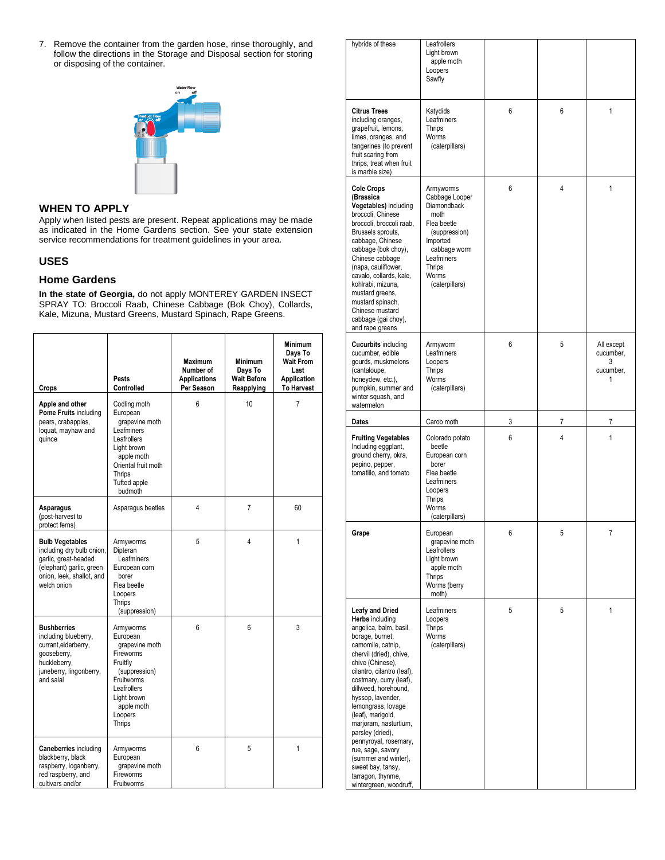7. Remove the container from the garden hose , rinse thoroughly, and follow the directions in the Storage and Disposal section for storing or disposing of the container.



## **WHEN TO APPLY**

Apply when listed pests are present. Repeat applications may be made as indicated in the Home Gardens section. See your state extension service recommendations for treatment guidelines in your area.

## **USES**

## **Home Gardens**

**In the state of Georgia,** do not apply MONTEREY GARDEN INSECT SPRAY TO: Broccoli Raab, Chinese Cabbage (Bok Choy), Collards, Kale, Mizuna, Mustard Greens, Mustard Spinach, Rape Greens.

| Crops                                                                                                                                               | Pests<br>Controlled                                                                                                                                              | <b>Maximum</b><br>Number of<br><b>Applications</b><br>Per Season | <b>Minimum</b><br>Days To<br><b>Wait Before</b><br>Reapplying | <b>Minimum</b><br>Days To<br><b>Wait From</b><br>Last<br>Application<br><b>To Harvest</b> |
|-----------------------------------------------------------------------------------------------------------------------------------------------------|------------------------------------------------------------------------------------------------------------------------------------------------------------------|------------------------------------------------------------------|---------------------------------------------------------------|-------------------------------------------------------------------------------------------|
| Apple and other<br>Pome Fruits including<br>pears, crabapples,<br>loquat, mayhaw and<br>quince                                                      | Codling moth<br>European<br>grapevine moth<br>Leafminers<br>Leafrollers<br>Light brown<br>apple moth<br>Oriental fruit moth<br>Thrips<br>Tufted apple<br>budmoth | 6                                                                | 10                                                            | 7                                                                                         |
| Asparagus<br>(post-harvest to<br>protect ferns)                                                                                                     | Asparagus beetles                                                                                                                                                | 4                                                                | 7                                                             | 60                                                                                        |
| <b>Bulb Vegetables</b><br>including dry bulb onion,<br>garlic, great-headed<br>(elephant) garlic, green<br>onion, leek, shallot, and<br>welch onion | Armyworms<br>Dipteran<br>Leafminers<br>European corn<br>borer<br>Flea beetle<br>Loopers<br>Thrips<br>(suppression)                                               | 5                                                                | 4                                                             | 1                                                                                         |
| <b>Bushberries</b><br>including blueberry,<br>currant, elderberry,<br>gooseberry,<br>huckleberry,<br>juneberry, lingonberry,<br>and salal           | Armyworms<br>European<br>grapevine moth<br>Fireworms<br>Fruitfly<br>(suppression)<br>Fruitworms<br>Leafrollers<br>Light brown<br>apple moth<br>Loopers<br>Thrips | 6                                                                | 6                                                             | 3                                                                                         |
| <b>Caneberries</b> including<br>blackberry, black<br>raspberry, loganberry,<br>red raspberry, and<br>cultivars and/or                               | Armyworms<br>European<br>grapevine moth<br>Fireworms<br>Fruitworms                                                                                               | 6                                                                | 5                                                             | 1                                                                                         |

| tainer from the garden hose, rinse thoroughly, and<br>ons in the Storage and Disposal section for storing<br>e container.                                                                                                                                                                         |                                                                       |                                                                     |                                                                                                             | hybrids of these                                                                                                                                                                                                                                                                                                                                                                         | Leafrollers<br>Light brown<br>apple moth<br>Loopers<br>Sawfly                                                                                                     |                   |                                  |                                           |
|---------------------------------------------------------------------------------------------------------------------------------------------------------------------------------------------------------------------------------------------------------------------------------------------------|-----------------------------------------------------------------------|---------------------------------------------------------------------|-------------------------------------------------------------------------------------------------------------|------------------------------------------------------------------------------------------------------------------------------------------------------------------------------------------------------------------------------------------------------------------------------------------------------------------------------------------------------------------------------------------|-------------------------------------------------------------------------------------------------------------------------------------------------------------------|-------------------|----------------------------------|-------------------------------------------|
|                                                                                                                                                                                                                                                                                                   |                                                                       |                                                                     |                                                                                                             | <b>Citrus Trees</b><br>including oranges,<br>grapefruit, lemons,<br>limes, oranges, and<br>tangerines (to prevent<br>fruit scaring from<br>thrips, treat when fruit<br>is marble size)                                                                                                                                                                                                   | Katydids<br>Leafminers<br>Thrips<br>Worms<br>(caterpillars)                                                                                                       | 6                 | 6                                |                                           |
| Y.<br>sts are present. Repeat applications may be made<br>Home Gardens section. See your state extension<br>tions for treatment guidelines in your area.<br>gia, do not apply MONTEREY GARDEN INSECT<br>i Raab, Chinese Cabbage (Bok Choy), Collards,<br>rd Greens, Mustard Spinach, Rape Greens. |                                                                       |                                                                     |                                                                                                             | <b>Cole Crops</b><br>(Brassica<br>Vegetables) including<br>broccoli, Chinese<br>broccoli, broccoli raab,<br>Brussels sprouts,<br>cabbage, Chinese<br>cabbage (bok choy),<br>Chinese cabbage<br>(napa, cauliflower,<br>cavalo, collards, kale,<br>kohlrabi, mizuna,<br>mustard greens,<br>mustard spinach,<br>Chinese mustard<br>cabbage (gai choy),<br>and rape greens                   | Armyworms<br>Cabbage Looper<br>Diamondback<br>moth<br>Flea beetle<br>(suppression)<br>Imported<br>cabbage worm<br>Leafminers<br>Thrips<br>Worms<br>(caterpillars) | 6                 | $\overline{4}$                   | $\overline{1}$                            |
| ests<br>ontrolled<br>odling moth                                                                                                                                                                                                                                                                  | <b>Maximum</b><br>Number of<br><b>Applications</b><br>Per Season<br>6 | <b>Minimum</b><br>Days To<br><b>Wait Before</b><br>Reapplying<br>10 | <b>Minimum</b><br>Days To<br><b>Wait From</b><br>Last<br>Application<br><b>To Harvest</b><br>$\overline{7}$ | <b>Cucurbits including</b><br>cucumber, edible<br>gourds, muskmelons<br>(cantaloupe,<br>honeydew, etc.),<br>pumpkin, summer and<br>winter squash, and<br>watermelon                                                                                                                                                                                                                      | Armyworm<br>Leafminers<br>Loopers<br>Thrips<br>Worms<br>(caterpillars)                                                                                            | 6                 | 5                                | All except<br>cucumber,<br>3<br>cucumber, |
| uropean<br>grapevine moth<br>eafminers<br>eafrollers<br>ght brown<br>apple moth<br>riental fruit moth<br><b>nrips</b><br>ufted apple<br>budmoth                                                                                                                                                   |                                                                       |                                                                     |                                                                                                             | Dates<br><b>Fruiting Vegetables</b><br>Including eggplant,<br>ground cherry, okra,<br>pepino, pepper,<br>tomatillo, and tomato                                                                                                                                                                                                                                                           | Carob moth<br>Colorado potato<br>beetle<br>European corn<br>borer<br>Flea beetle<br>Leafminers<br>Loopers                                                         | $\mathbf{3}$<br>6 | $\overline{7}$<br>$\overline{4}$ | $\overline{7}$                            |
| sparagus beetles                                                                                                                                                                                                                                                                                  | $\overline{4}$                                                        | $\overline{7}$                                                      | 60                                                                                                          |                                                                                                                                                                                                                                                                                                                                                                                          | Thrips<br>Worms<br>(caterpillars)                                                                                                                                 |                   |                                  |                                           |
| myworms<br>pteran<br>Leafminers<br>uropean corn<br>borer<br>ea beetle<br>opers                                                                                                                                                                                                                    | $5\overline{)}$                                                       | $\overline{4}$                                                      |                                                                                                             | Grape                                                                                                                                                                                                                                                                                                                                                                                    | European<br>grapevine moth<br>Leafrollers<br>Light brown<br>apple moth<br>Thrips<br>Worms (berry<br>moth)                                                         | 6                 | 5                                | -7                                        |
| hrips<br>(suppression)<br>myworms<br>uropean<br>grapevine moth<br>reworms<br>uitfly<br>(suppression)<br>uitworms<br>eafrollers<br>ght brown<br>apple moth<br>opers<br>hrips                                                                                                                       | $6\overline{6}$                                                       | -6                                                                  | $\mathbf{3}$                                                                                                | <b>Leafy and Dried</b><br><b>Herbs including</b><br>angelica, balm, basil,<br>borage, burnet,<br>camomile, catnip,<br>chervil (dried), chive,<br>chive (Chinese),<br>cilantro, cilantro (leaf),<br>costmary, curry (leaf),<br>dillweed, horehound,<br>hyssop, lavender,<br>lemongrass, lovage<br>(leaf), marigold,<br>marjoram, nasturtium,<br>parsley (dried),<br>pennyroyal, rosemary, | Leafminers<br>Loopers<br>Thrips<br>Worms<br>(caterpillars)                                                                                                        | 5                 | 5                                |                                           |
| myworms<br>uropean<br>grapevine moth<br>reworms<br>uitworms                                                                                                                                                                                                                                       | $6\overline{6}$                                                       | 5                                                                   | -1                                                                                                          | rue, sage, savory<br>(summer and winter),<br>sweet bay, tansy,<br>tarragon, thynme,<br>wintergreen, woodruff,                                                                                                                                                                                                                                                                            |                                                                                                                                                                   |                   |                                  |                                           |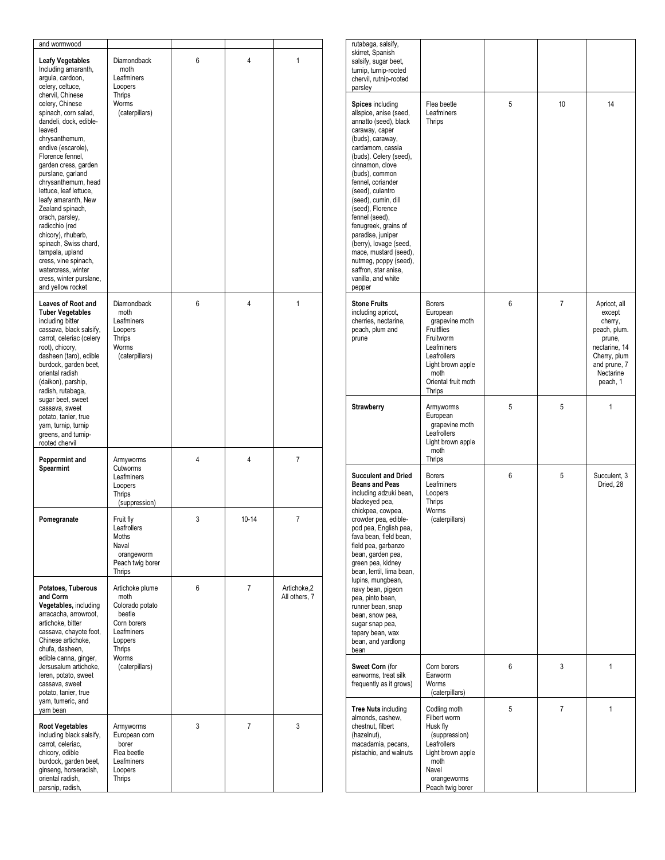| and wormwood                                                                                                                                                                                                                                                                                                                                                                                                                                                                                                                                                                                        |                                                                                                                                          |   |           |                              |
|-----------------------------------------------------------------------------------------------------------------------------------------------------------------------------------------------------------------------------------------------------------------------------------------------------------------------------------------------------------------------------------------------------------------------------------------------------------------------------------------------------------------------------------------------------------------------------------------------------|------------------------------------------------------------------------------------------------------------------------------------------|---|-----------|------------------------------|
| <b>Leafy Vegetables</b><br>Including amaranth,<br>arqula, cardoon,<br>celery, celtuce,<br>chervil, Chinese<br>celery, Chinese<br>spinach, corn salad,<br>dandeli, dock, edible-<br>leaved<br>chrysanthemum,<br>endive (escarole).<br>Florence fennel.<br>garden cress, garden<br>purslane, garland<br>chrysanthemum, head<br>lettuce, leaf lettuce,<br>leafy amaranth, New<br>Zealand spinach,<br>orach, parsley,<br>radicchio (red<br>chicory), rhubarb,<br>spinach, Swiss chard,<br>tampala, upland<br>cress, vine spinach,<br>watercress, winter<br>cress, winter purslane,<br>and yellow rocket | <b>Diamondback</b><br>moth<br>Leafminers<br>Loopers<br>Thrips<br>Worms<br>(caterpillars)                                                 | 6 | 4         | 1                            |
| Leaves of Root and<br><b>Tuber Vegetables</b><br>including bitter<br>cassava, black salsify,<br>carrot, celeriac (celery<br>root), chicory,<br>dasheen (taro), edible<br>burdock, garden beet,<br>oriental radish<br>(daikon), parship,<br>radish, rutabaga,<br>sugar beet, sweet<br>cassava, sweet<br>potato, tanier, true<br>yam, turnip, turnip<br>greens, and turnip-<br>rooted chervil                                                                                                                                                                                                         | <b>Diamondback</b><br>moth<br>Leafminers<br>Loopers<br>Thrips<br>Worms<br>(caterpillars)                                                 | 6 | 4         | 1                            |
| Peppermint and<br>Spearmint                                                                                                                                                                                                                                                                                                                                                                                                                                                                                                                                                                         | Armyworms<br>Cutworms<br>Leafminers<br>Loopers<br>Thrips<br>(suppression)                                                                | 4 | 4         | 7                            |
| Pomegranate                                                                                                                                                                                                                                                                                                                                                                                                                                                                                                                                                                                         | Fruit fly<br>Leatrollers<br>Moths<br>Naval<br>orangeworm<br>Peach twig borer<br>Thrips                                                   | 3 | $10 - 14$ | 7                            |
| Potatoes, Tuberous<br>and Corm<br>Vegetables, including<br>arracacha, arrowroot,<br>artichoke, bitter<br>cassava, chayote foot,<br>Chinese artichoke,<br>chufa, dasheen,<br>edible canna, ginger,<br>Jersusalum artichoke,<br>leren, potato, sweet<br>cassava, sweet<br>potato, tanier, true<br>yam, tumeric, and<br>yam bean                                                                                                                                                                                                                                                                       | Artichoke plume<br>moth<br>Colorado potato<br>beetle<br>Corn borers<br>Leafminers<br>Loppers<br><b>Thrips</b><br>Worms<br>(caterpillars) | 6 | 7         | Artichoke,2<br>All others, 7 |
| <b>Root Vegetables</b><br>including black salsify,<br>carrot, celeriac,<br>chicory, edible<br>burdock, garden beet,<br>ginseng, horseradish,<br>oriental radish,<br>parsnip, radish,                                                                                                                                                                                                                                                                                                                                                                                                                | Armyworms<br>European corn<br>borer<br>Flea beetle<br>Leafminers<br>Loopers<br>Thrips                                                    | 3 | 7         | 3                            |

| rutabaga, salsify,<br>skirret, Spanish<br>salsify, sugar beet,<br>turnip, turnip-rooted<br>chervil, rutnip-rooted<br>parsley                                                                                                                                                                                                                                                                                                                                                        |                                                                                                                                                                   |   |    |                                                                                                                                       |
|-------------------------------------------------------------------------------------------------------------------------------------------------------------------------------------------------------------------------------------------------------------------------------------------------------------------------------------------------------------------------------------------------------------------------------------------------------------------------------------|-------------------------------------------------------------------------------------------------------------------------------------------------------------------|---|----|---------------------------------------------------------------------------------------------------------------------------------------|
| Spices including<br>allspice, anise (seed,<br>annatto (seed), black<br>caraway, caper<br>(buds), caraway,<br>cardamom, cassia<br>(buds). Celery (seed),<br>cinnamon, clove<br>(buds), common<br>fennel, coriander<br>(seed), culantro<br>(seed), cumin, dill<br>(seed), Florence<br>fennel (seed),<br>fenugreek, grains of<br>paradise, juniper<br>(berry), lovage (seed,<br>mace, mustard (seed),<br>nutmeg, poppy (seed),<br>saffron, star anise,<br>vanilla, and white<br>pepper | Flea beetle<br>Leafminers<br>Thrips                                                                                                                               | 5 | 10 | 14                                                                                                                                    |
| <b>Stone Fruits</b><br>including apricot,<br>cherries, nectarine,<br>peach, plum and<br>prune                                                                                                                                                                                                                                                                                                                                                                                       | <b>Borers</b><br>European<br>grapevine moth<br>Fruitflies<br>Fruitworm<br>Leafminers<br>Leafrollers<br>Light brown apple<br>moth<br>Oriental fruit moth<br>Thrips | 6 | 7  | Apricot, all<br>except<br>cherry,<br>peach, plum.<br>prune,<br>nectarine, 14<br>Cherry, plum<br>and prune, 7<br>Nectarine<br>peach, 1 |
| Strawberry                                                                                                                                                                                                                                                                                                                                                                                                                                                                          | Armyworms<br>European<br>grapevine moth<br>Leafrollers<br>Light brown apple<br>moth<br>Thrips                                                                     | 5 | 5  | 1                                                                                                                                     |
| <b>Succulent and Dried</b><br><b>Beans and Peas</b><br>including adzuki bean,<br>blackeyed pea,<br>chickpea, cowpea,<br>crowder pea, edible-<br>pod pea, English pea,<br>fava bean, field bean,<br>field pea, garbanzo<br>bean, garden pea,<br>green pea, kidney<br>bean, lentil, lima bean,<br>lupins, mungbean,<br>navy bean, pigeon<br>pea, pinto bean,<br>runner bean, snap<br>bean, snow pea,<br>sugar snap pea,<br>tepary bean, wax<br>bean, and yardlong<br>bean             | <b>Borers</b><br>Leafminers<br>Loopers<br>Thrips<br>Worms<br>(caterpillars)                                                                                       | 6 | 5  | Succulent, 3<br>Dried. 28                                                                                                             |
| Sweet Corn (for<br>earworms, treat silk<br>frequently as it grows)                                                                                                                                                                                                                                                                                                                                                                                                                  | Corn borers<br>Earworm<br>Worms<br>(caterpillars)                                                                                                                 | 6 | 3  | 1                                                                                                                                     |
| <b>Tree Nuts including</b><br>almonds, cashew,<br>chestnut, filbert<br>(hazelnut),<br>macadamia, pecans,<br>pistachio, and walnuts                                                                                                                                                                                                                                                                                                                                                  | Codling moth<br>Filbert worm<br>Husk fly<br>(suppression)<br>Leafrollers<br>Light brown apple<br>moth<br>Navel<br>orangeworms<br>Peach twig borer                 | 5 | 7  | 1                                                                                                                                     |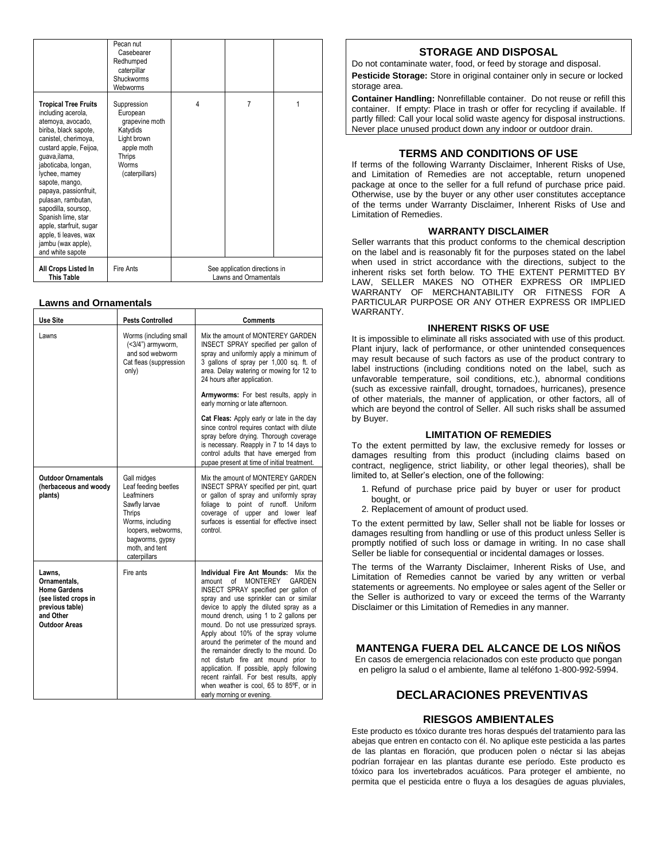|                                                                                                                                                                                                                                                                                                                                                                                                                        | Pecan nut<br>Casebearer<br>Redhumped<br>caterpillar<br>Shuckworms<br>Webworms                                           |   |                                                        |   |
|------------------------------------------------------------------------------------------------------------------------------------------------------------------------------------------------------------------------------------------------------------------------------------------------------------------------------------------------------------------------------------------------------------------------|-------------------------------------------------------------------------------------------------------------------------|---|--------------------------------------------------------|---|
| <b>Tropical Tree Fruits</b><br>including acerola,<br>atemova, avocado,<br>biriba, black sapote,<br>canistel, cherimoya,<br>custard apple, Feijoa,<br>guava, ilama,<br>jaboticaba, longan,<br>lychee, mamey<br>sapote, mango,<br>papaya, passionfruit,<br>pulasan, rambutan,<br>sapodilla, soursop,<br>Spanish lime, star<br>apple, starfruit, sugar<br>apple, ti leaves, wax<br>jambu (wax apple).<br>and white sapote | Suppression<br>European<br>grapevine moth<br>Katydids<br>Light brown<br>apple moth<br>Thrips<br>Worms<br>(caterpillars) | 4 | 7                                                      | 1 |
| All Crops Listed In<br><b>This Table</b>                                                                                                                                                                                                                                                                                                                                                                               | Fire Ants                                                                                                               |   | See application directions in<br>Lawns and Ornamentals |   |

#### **Lawns and Ornamentals**

| <b>Use Site</b>                                                                                                               | <b>Pests Controlled</b>                                                                                                                                                     | Comments                                                                                                                                                                                                                                                                                                                                                                                                                                                                                                                                                                                                                       |
|-------------------------------------------------------------------------------------------------------------------------------|-----------------------------------------------------------------------------------------------------------------------------------------------------------------------------|--------------------------------------------------------------------------------------------------------------------------------------------------------------------------------------------------------------------------------------------------------------------------------------------------------------------------------------------------------------------------------------------------------------------------------------------------------------------------------------------------------------------------------------------------------------------------------------------------------------------------------|
| Lawns                                                                                                                         | Worms (including small<br>$(<3/4")$ armyworm,<br>and sod webworm<br>Cat fleas (suppression<br>only)                                                                         | Mix the amount of MONTEREY GARDEN<br>INSECT SPRAY specified per gallon of<br>spray and uniformly apply a minimum of<br>3 gallons of spray per 1,000 sq. ft. of<br>area. Delay watering or mowing for 12 to<br>24 hours after application.                                                                                                                                                                                                                                                                                                                                                                                      |
|                                                                                                                               |                                                                                                                                                                             | Armyworms: For best results, apply in<br>early morning or late afternoon.                                                                                                                                                                                                                                                                                                                                                                                                                                                                                                                                                      |
|                                                                                                                               |                                                                                                                                                                             | Cat Fleas: Apply early or late in the day<br>since control requires contact with dilute<br>spray before drying. Thorough coverage<br>is necessary. Reapply in 7 to 14 days to<br>control adults that have emerged from<br>pupae present at time of initial treatment.                                                                                                                                                                                                                                                                                                                                                          |
| <b>Outdoor Ornamentals</b><br>(herbaceous and woody<br>plants)                                                                | Gall midges<br>Leaf feeding beetles<br>Leafminers<br>Sawfly larvae<br>Thrips<br>Worms, including<br>loopers, webworms,<br>bagworms, gypsy<br>moth, and tent<br>caterpillars | Mix the amount of MONTEREY GARDEN<br>INSECT SPRAY specified per pint, quart<br>or gallon of spray and uniformly spray<br>foliage to point of runoff. Uniform<br>coverage of upper and lower leaf<br>surfaces is essential for effective insect<br>control.                                                                                                                                                                                                                                                                                                                                                                     |
| Lawns,<br>Ornamentals.<br><b>Home Gardens</b><br>(see listed crops in<br>previous table)<br>and Other<br><b>Outdoor Areas</b> | Fire ants                                                                                                                                                                   | Individual Fire Ant Mounds:<br>Mix the<br>MONTERFY<br>GARDEN<br>of<br>amount<br>INSECT SPRAY specified per gallon of<br>spray and use sprinkler can or similar<br>device to apply the diluted spray as a<br>mound drench, using 1 to 2 gallons per<br>mound. Do not use pressurized sprays.<br>Apply about 10% of the spray volume<br>around the perimeter of the mound and<br>the remainder directly to the mound. Do<br>not disturb fire ant mound prior to<br>application. If possible, apply following<br>recent rainfall. For best results, apply<br>when weather is cool, 65 to 85°F, or in<br>early morning or evening. |

## **STORAGE AND DISPOSAL**

Do not contaminate water, food, or feed by storage and disposal. **Pesticide Storage:** Store in original container only in secure or locked storage area.

**Container Handling:** Nonrefillable container. Do not reuse or refill this container. If empty: Place in trash or offer for recycling if available. If partly filled: Call your local solid waste agency for disposal instructions. Never place unused product down any indoor or outdoor drain.

## **TERMS AND CONDITIONS OF USE**

If terms of the following Warranty Disclaimer, Inherent Risks of Use, and Limitation of Remedies are not acceptable, return unopened package at once to the seller for a full refund of purchase price paid. Otherwise, use by the buyer or any other user constitutes acceptance of the terms under Warranty Disclaimer, Inherent Risks of Use and Limitation of Remedies.

#### **WARRANTY DISCLAIMER**

Seller warrants that this product conforms to the chemical description on the label and is reasonably fit for the purposes stated on the label when used in strict accordance with the directions, subject to the inherent risks set forth below. TO THE EXTENT PERMITTED BY LAW, SELLER MAKES NO OTHER EXPRESS OR IMPLIED WARRANTY OF MERCHANTABILITY OR FITNESS FOR A PARTICULAR PURPOSE OR ANY OTHER EXPRESS OR IMPLIED WARRANTY.

#### **INHERENT RISKS OF USE**

It is impossible to eliminate all risks associated with use of this product. Plant injury, lack of performance, or other unintended consequences may result because of such factors as use of the product contrary to label instructions (including conditions noted on the label, such as unfavorable temperature, soil conditions, etc.), abnormal conditions (such as excessive rainfall, drought, tornadoes, hurricanes), presence of other materials, the manner of application, or other factors, all of which are beyond the control of Seller. All such risks shall be assumed by Buyer.

#### **LIMITATION OF REMEDIES**

To the extent permitted by law, the exclusive remedy for losses or damages resulting from this product (including claims based on contract, negligence, strict liability, or other legal theories), shall be limited to, at Seller's election, one of the following:

- 1. Refund of purchase price paid by buyer or user for product bought, or
- 2. Replacement of amount of product used.

To the extent permitted by law, Seller shall not be liable for losses or damages resulting from handling or use of this product unless Seller is promptly notified of such loss or damage in writing. In no case shall Seller be liable for consequential or incidental damages or losses.

The terms of the Warranty Disclaimer, Inherent Risks of Use, and Limitation of Remedies cannot be varied by any written or verbal statements or agreements. No employee or sales agent of the Seller or the Seller is authorized to vary or exceed the terms of the Warranty Disclaimer or this Limitation of Remedies in any manner.

#### **MANTENGA FUERA DEL ALCANCE DE LOS NINOS**

En casos de emergencia relacionados con este producto que pongan en peligro la salud o el ambiente, llame al teléfono 1-800-992-5994.

# **DECLARACIONES PREVENTIVAS**

#### **RIESGOS AMBIENTALES**

Este producto es tóxico durante tres horas después del tratamiento para las abejas que entren en contacto con él. No aplique este pesticida a las partes de las plantas en floración, que producen polen o néctar si las abejas podrían forrajear en las plantas durante ese período. Este producto es tóxico para los invertebrados acuáticos. Para proteger el ambiente, no permita que el pesticida entre o fluya a los desagües de aguas pluviales,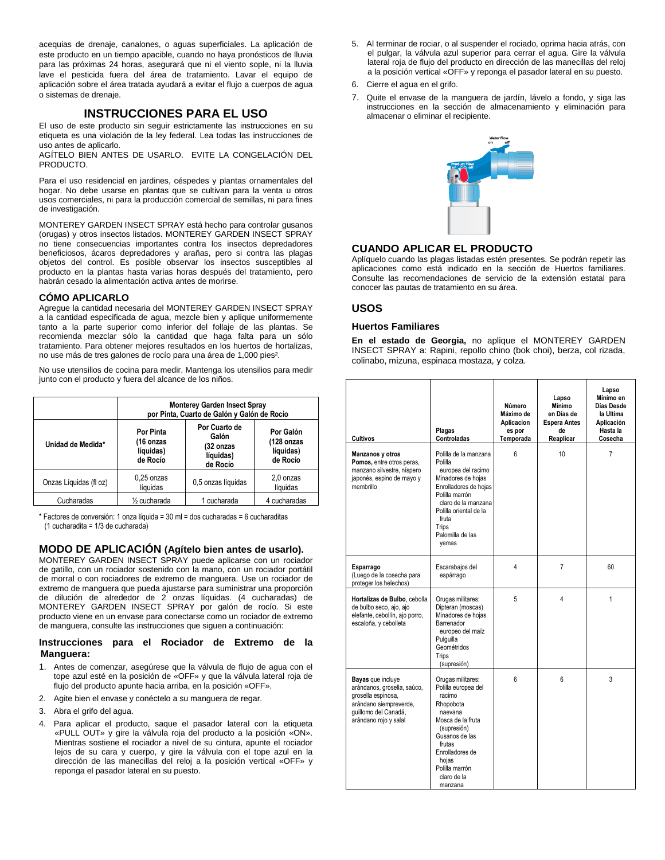acequias de drenaje, canalones, o aguas superficiales. La aplicación de este producto en un tiempo apacible, cuando no haya pronósticos de lluvia para las próximas 24 horas, asegurará que ni el viento sople, ni la lluvia lave el pesticida fuera del área de tratamiento. Lavar el equipo de aplicación sobre el área tratada ayudará a evitar el flujo a cuerpos de agua o sistemas de drenaje.

## **INSTRUCCIONES PARA EL USO**

El uso de este producto sin seguir estrictamente las instrucciones en su etiqueta es una violación de la ley federal. Lea todas las instrucciones de uso antes de aplicarlo.

AGÍTELO BIEN ANTES DE USARLO. EVITE LA CONGELACIÓN DEL PRODUCTO.

Para el uso residencial en jardines, céspedes y plantas ornamentales del hogar. No debe usarse en plantas que se cultivan para la venta u otros usos comerciales, ni para la producción comercial de semillas, ni para fines de investigación.

MONTEREY GARDEN INSECT SPRAY está hecho para controlar gusanos (orugas) y otros insectos listados. MONTEREY GARDEN INSECT SPRAY no tiene consecuencias importantes contra los insectos depredadores beneficiosos, ácaros depredadores y arañas, pero si contra las plagas objetos del control. Es posible observar los insectos susceptibles al producto en la plantas hasta varias horas después del tratamiento, pero habrán cesado la alimentación activa antes de morirse.

#### **CÓMO APLICARLO**

Agregue la cantidad necesaria del MONTEREY GARDEN INSECT SPRAY a la cantidad especificada de agua, mezcle bien y aplique uniformemente tanto a la parte superior como inferior del follaje de las plantas. Se recomienda mezclar sólo la cantidad que haga falta para un sólo tratamiento. Para obtener mejores resultados en los huertos de hortalizas, no use más de tres galones de rocío para una área de 1,000 pies².

No use utensilios de cocina para medir. Mantenga los utensilios para medir junto con el producto y fuera del alcance de los niños.

|                        | <b>Monterey Garden Insect Spray</b><br>por Pinta, Cuarto de Galón y Galón de Rocío |                                                              |                                                  |  |  |  |
|------------------------|------------------------------------------------------------------------------------|--------------------------------------------------------------|--------------------------------------------------|--|--|--|
| Unidad de Medida*      | Por Pinta<br>(16 onzas<br>líquidas)<br>de Rocío                                    | Por Cuarto de<br>Galón<br>(32 onzas<br>líquidas)<br>de Rocío | Por Galón<br>(128 onzas<br>líquidas)<br>de Rocío |  |  |  |
| Onzas Líquidas (fl oz) | 0,25 onzas<br>líquidas                                                             | 0,5 onzas líquidas                                           | 2,0 onzas<br>líquidas                            |  |  |  |
| Cucharadas             | 1/ <sub>2</sub> cucharada<br>4 cucharadas<br>1 cucharada                           |                                                              |                                                  |  |  |  |

\* Factores de conversión: 1 onza líquida = 30 ml = dos cucharadas = 6 cucharaditas (1 cucharadita = 1/3 de cucharada)

## **MODO DE APLICACIÓN (Agítelo bien antes de usarlo).**

MONTEREY GARDEN INSECT SPRAY puede aplicarse con un rociador de gatillo, con un rociador sostenido con la mano, con un rociador portátil de morral o con rociadores de extremo de manguera. Use un rociador de extremo de manguera que pueda ajustarse para suministrar una proporción de dilución de alrededor de 2 onzas líquidas. (4 cucharadas) de MONTEREY GARDEN INSECT SPRAY por galón de rocío. Si este producto viene en un envase para conectarse como un rociador de extremo de manguera, consulte las instrucciones que siguen a continuación:

#### **Instrucciones para el Rociador de Extremo de la Manguera:**

- 1. Antes de comenzar, asegúrese que la válvula de flujo de agua con el tope azul esté en la posición de «OFF» y que la válvula lateral roja de flujo del producto apunte hacia arriba, en la posición «OFF».
- 2. Agite bien el envase y conéctelo a su manguera de regar.
- 3. Abra el grifo del agua.
- 4. Para aplicar el producto, saque el pasador lateral con la etiqueta «PULL OUT» y gire la válvula roja del producto a la posición «ON». Mientras sostiene el rociador a nivel de su cintura, apunte el rociador lejos de su cara y cuerpo, y gire la válvula con el tope azul en la dirección de las manecillas del reloj a la posición vertical «OFF» y reponga el pasador lateral en su puesto.
- 5. Al terminar de rociar, o al suspender el rociado, oprima hacia atrás, con el pulgar, la válvula azul superior para cerrar el agua. Gire la válvula lateral roja de flujo del producto en dirección de las manecillas del reloj a la posición vertical «OFF» y reponga el pasador lateral en su puesto.
- 6. Cierre el agua en el grifo.
- 7. Quite el envase de la manguera de jardín, lávelo a fondo, y siga las instrucciones en la sección de almacenamiento y eliminación para almacenar o eliminar el recipiente.



#### **CUANDO APLICAR EL PRODUCTO**

Aplíquelo cuando las plagas listadas estén presentes. Se podrán repetir las aplicaciones como está indicado en la sección de Huertos familiares. Consulte las recomendaciones de servicio de la extensión estatal para conocer las pautas de tratamiento en su área.

#### **USOS**

#### **Huertos Familiares**

**En el estado de Georgia,** no aplique el MONTEREY GARDEN INSECT SPRAY a: Rapini, repollo chino (bok choi), berza, col rizada, colinabo, mizuna, espinaca mostaza, y colza.

| <b>Cultivos</b>                                                                                                                                          | Plagas<br>Controladas                                                                                                                                                                                                          | Número<br>Máximo de<br>Aplicacion<br>es por<br>Temporada | Lapso<br>Mínimo<br>en Días de<br><b>Espera Antes</b><br>de<br>Reaplicar | Lapso<br>Mínimo en<br>Días Desde<br>la Ultima<br>Aplicación<br>Hasta la<br>Cosecha |
|----------------------------------------------------------------------------------------------------------------------------------------------------------|--------------------------------------------------------------------------------------------------------------------------------------------------------------------------------------------------------------------------------|----------------------------------------------------------|-------------------------------------------------------------------------|------------------------------------------------------------------------------------|
| Manzanos y otros<br>Pomos, entre otros peras.<br>manzano silvestre, níspero<br>japonés, espino de mayo y<br>membrillo                                    | Polilla de la manzana<br>Polilla<br>europea del racimo<br>Minadores de hojas<br>Enrolladores de hojas<br>Polilla marrón<br>claro de la manzana<br>Polilla oriental de la<br>fruta<br><b>Trips</b><br>Palomilla de las<br>yemas | 6                                                        | 10                                                                      | $\overline{7}$                                                                     |
| Esparrago<br>(Luego de la cosecha para<br>proteger los helechos)                                                                                         | Escarabajos del<br>espárrago                                                                                                                                                                                                   | 4                                                        | $\overline{7}$                                                          | 60                                                                                 |
| Hortalizas de Bulbo, cebolla<br>de bulbo seco, ajo, ajo<br>elefante, cebollín, ajo porro,<br>escaloña, y cebolleta                                       | Orugas militares:<br>Dipteran (moscas)<br>Minadores de hojas<br>Barrenador<br>europeo del maíz<br>Pulguilla<br>Geométridos<br>Trips<br>(supresión)                                                                             | 5                                                        | 4                                                                       | $\mathbf{1}$                                                                       |
| <b>Bayas</b> que incluye<br>arándanos, grosella, saúco,<br>grosella espinosa,<br>arándano siempreverde,<br>quillomo del Canadá,<br>arándano rojo y salal | Orugas militares:<br>Polilla europea del<br>racimo<br>Rhopobota<br>naevana<br>Mosca de la fruta<br>(supresión)<br>Gusanos de las<br>frutas<br>Enrolladores de<br>hojas<br>Polilla marrón<br>claro de la<br>manzana             | ĥ                                                        | 6                                                                       | 3                                                                                  |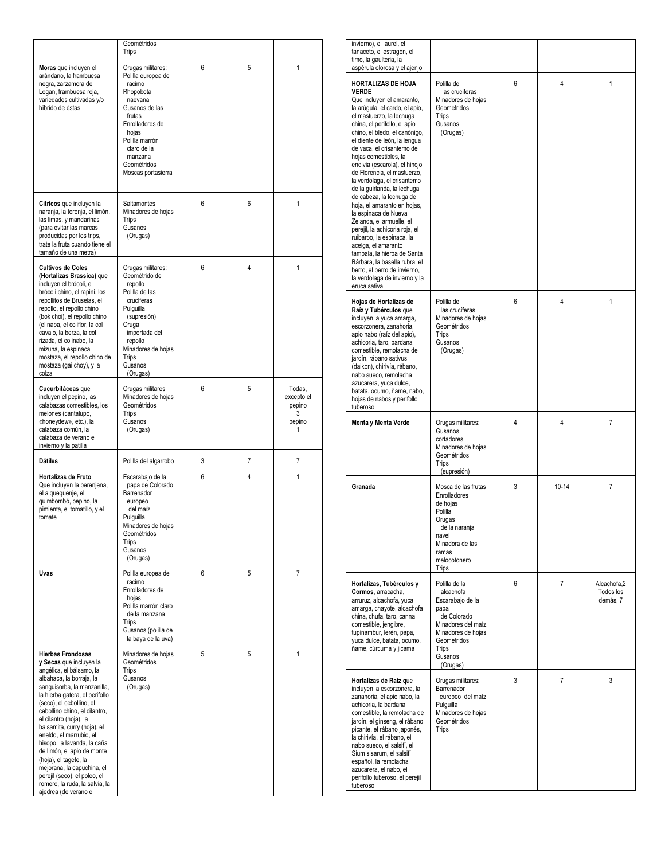|                                                                                                                                                                                                                                                                                                                                                                                                                                                                                                                                             | Geométridos<br>Trips                                                                                                                                                                                                |   |   |                                                    |
|---------------------------------------------------------------------------------------------------------------------------------------------------------------------------------------------------------------------------------------------------------------------------------------------------------------------------------------------------------------------------------------------------------------------------------------------------------------------------------------------------------------------------------------------|---------------------------------------------------------------------------------------------------------------------------------------------------------------------------------------------------------------------|---|---|----------------------------------------------------|
| Moras que incluyen el<br>arándano, la frambuesa<br>negra, zarzamora de<br>Logan, frambuesa roja,<br>variedades cultivadas y/o<br>híbrido de éstas                                                                                                                                                                                                                                                                                                                                                                                           | Orugas militares:<br>Polilla europea del<br>racimo<br>Rhopobota<br>naevana<br>Gusanos de las<br>frutas<br>Enrolladores de<br>hojas<br>Polilla marrón<br>claro de la<br>manzana<br>Geométridos<br>Moscas portasierra | 6 | 5 | 1                                                  |
| Cítricos que incluyen la<br>naranja, la toronja, el limón,<br>las limas, y mandarinas<br>(para evitar las marcas<br>producidas por los trips,<br>trate la fruta cuando tiene el<br>tamaño de una metra)                                                                                                                                                                                                                                                                                                                                     | Saltamontes<br>Minadores de hojas<br>Trips<br>Gusanos<br>(Orugas)                                                                                                                                                   | 6 | 6 | 1                                                  |
| <b>Cultivos de Coles</b><br>(Hortalizas Brassica) que<br>incluyen el brócoli, el<br>brócoli chino, el rapini, los<br>repollitos de Bruselas, el<br>repollo, el repollo chino<br>(bok choi), el repollo chino<br>(el napa, el coliflor, la col<br>cavalo, la berza, la col<br>rizada, el colinabo, la<br>mizuna, la espinaca<br>mostaza, el repollo chino de<br>mostaza (gai choy), y la<br>colza                                                                                                                                            | Orugas militares:<br>Geométrido del<br>repollo<br>Polilla de las<br>crucíferas<br>Pulguilla<br>(supresión)<br>Oruga<br>importada del<br>repollo<br>Minadores de hojas<br>Trips<br>Gusanos<br>(Orugas)               | 6 | 4 | 1                                                  |
| Cucurbitáceas que<br>incluyen el pepino, las<br>calabazas comestibles, los<br>melones (cantalupo,<br>«honeydew», etc.), la<br>calabaza común, la<br>calabaza de verano e<br>invierno y la patilla                                                                                                                                                                                                                                                                                                                                           | Orugas militares<br>Minadores de hojas<br>Geométridos<br>Trips<br>Gusanos<br>(Orugas)                                                                                                                               | 6 | 5 | Todas,<br>excepto el<br>pepino<br>3<br>pepino<br>1 |
| Dátiles                                                                                                                                                                                                                                                                                                                                                                                                                                                                                                                                     | Polilla del algarrobo                                                                                                                                                                                               | 3 | 7 | 7                                                  |
| Hortalizas de Fruto<br>Que incluyen la berenjena,<br>el alquequenje, el<br>quimbombó, pepino, la<br>pimienta, el tomatillo, y el<br>tomate                                                                                                                                                                                                                                                                                                                                                                                                  | Escarabajo de la<br>papa de Colorado<br>Barrenador<br>europeo<br>del maíz<br>Pulguilla<br>Minadores de hojas<br>Geométridos<br>Trips<br>Gusanos<br>(Orugas)                                                         | 6 | 4 | 1                                                  |
| Uvas                                                                                                                                                                                                                                                                                                                                                                                                                                                                                                                                        | Polilla europea del<br>racimo<br>Enrolladores de<br>hojas<br>Polilla marrón claro<br>de la manzana<br>Trips<br>Gusanos (polilla de<br>la baya de la uva)                                                            | 6 | 5 | $\overline{7}$                                     |
| <b>Hierbas Frondosas</b><br>y Secas que incluyen la<br>angélica, el bálsamo, la<br>albahaca, la borraja, la<br>sanguisorba, la manzanilla,<br>la hierba gatera, el perifollo<br>(seco), el cebollino, el<br>cebollino chino, el cilantro,<br>el cilantro (hoja), la<br>balsamita, curry (hoja), el<br>eneldo, el marrubio, el<br>hisopo, la lavanda, la caña<br>de limón, el apio de monte<br>(hoja), el tagete, la<br>mejorana, la capuchina, el<br>perejil (seco), el poleo, el<br>romero, la ruda, la salvia, la<br>ajedrea (de verano e | Minadores de hojas<br>Geométridos<br>Trips<br>Gusanos<br>(Orugas)                                                                                                                                                   | 5 | 5 | 1                                                  |

| invierno), el laurel, el<br>tanaceto, el estragón, el<br>timo, la gaulteria, la<br>aspérula olorosa y el ajenjo                                                                                                                                                                                                                                                                                                                                                                                                                                                                                                                                                                                                                                                   |                                                                                                                                                                  |   |                |                                      |
|-------------------------------------------------------------------------------------------------------------------------------------------------------------------------------------------------------------------------------------------------------------------------------------------------------------------------------------------------------------------------------------------------------------------------------------------------------------------------------------------------------------------------------------------------------------------------------------------------------------------------------------------------------------------------------------------------------------------------------------------------------------------|------------------------------------------------------------------------------------------------------------------------------------------------------------------|---|----------------|--------------------------------------|
| HORTALIZAS DE HOJA<br>Verde<br>Que incluyen el amaranto,<br>la arúgula, el cardo, el apio,<br>el mastuerzo, la lechuga<br>china, el perifollo, el apio<br>chino, el bledo, el canónigo,<br>el diente de león, la lengua<br>de vaca, el crisantemo de<br>hojas comestibles, la<br>endivia (escarola), el hinojo<br>de Florencia, el mastuerzo,<br>la verdolaga, el crisantemo<br>de la guirlanda, la lechuga<br>de cabeza, la lechuga de<br>hoja, el amaranto en hojas,<br>la espinaca de Nueva<br>Zelanda, el armuelle, el<br>perejil, la achicoria roja, el<br>ruibarbo, la espinaca, la<br>acelga, el amaranto<br>tampala, la hierba de Santa<br>Bárbara, la basella rubra, el<br>berro, el berro de invierno,<br>la verdolaga de invierno y la<br>eruca sativa | Polilla de<br>las crucíferas<br>Minadores de hojas<br>Geométridos<br>Trips<br>Gusanos<br>(Orugas)                                                                | 6 | 4              | 1                                    |
| Hojas de Hortalizas de<br>Raíz y Tubérculos que<br>incluyen la yuca amarga,<br>escorzonera, zanahoria,<br>apio nabo (raíz del apio),<br>achicoria, taro, bardana<br>comestible, remolacha de<br>jardín, rábano sativus<br>(daikon), chirivía, rábano,<br>nabo sueco, remolacha<br>azucarera, yuca dulce,<br>batata, ocumo, ñame, nabo,<br>hojas de nabos y perifollo<br>tuberoso                                                                                                                                                                                                                                                                                                                                                                                  | Polilla de<br>las crucíferas<br>Minadores de hojas<br>Geométridos<br>Trips<br>Gusanos<br>(Orugas)                                                                | 6 | 4              | 1                                    |
| Menta y Menta Verde                                                                                                                                                                                                                                                                                                                                                                                                                                                                                                                                                                                                                                                                                                                                               | Orugas militares:<br>Gusanos<br>cortadores<br>Minadores de hojas<br>Geométridos<br>Trips<br>(supresión)                                                          | 4 | 4              | 7                                    |
| Granada                                                                                                                                                                                                                                                                                                                                                                                                                                                                                                                                                                                                                                                                                                                                                           | Mosca de las frutas<br>Enrolladores<br>de hojas<br>Polilla<br>Orugas<br>de la naranja<br>navel<br>Minadora de las<br>ramas<br>melocotonero<br>Trips              | 3 | $10 - 14$      | 7                                    |
| Hortalizas, Tubérculos y<br>Cormos, arracacha,<br>arruruz, alcachofa, yuca<br>amarga, chayote, alcachofa<br>china, chufa, taro, canna<br>comestible, jengibre,<br>tupinambur, lerén, papa,<br>yuca dulce, batata, ocumo,<br>ñame, cúrcuma y jicama                                                                                                                                                                                                                                                                                                                                                                                                                                                                                                                | Polilla de la<br>alcachofa<br>Escarabajo de la<br>papa<br>de Colorado<br>Minadores del maíz<br>Minadores de hojas<br>Geométridos<br>Trips<br>Gusanos<br>(Orugas) | 6 | 7              | Alcachofa,2<br>Todos los<br>demás, 7 |
| Hortalizas de Raiz que<br>incluyen la escorzonera, la<br>zanahoria, el apio nabo, la<br>achicoria, la bardana<br>comestible, la remolacha de<br>jardín, el ginseng, el rábano<br>picante, el rábano japonés,<br>la chirivía, el rábano, el<br>nabo sueco, el salsifí, el<br>Sium sisarum, el salsifí<br>español, la remolacha<br>azucarera, el nabo, el<br>perifollo tuberoso, el perejil<br>tuberoso                                                                                                                                                                                                                                                                                                                                                             | Orugas militares:<br>Barrenador<br>europeo del maíz<br>Pulquilla<br>Minadores de hojas<br>Geométridos<br>Trips                                                   | 3 | $\overline{7}$ | 3                                    |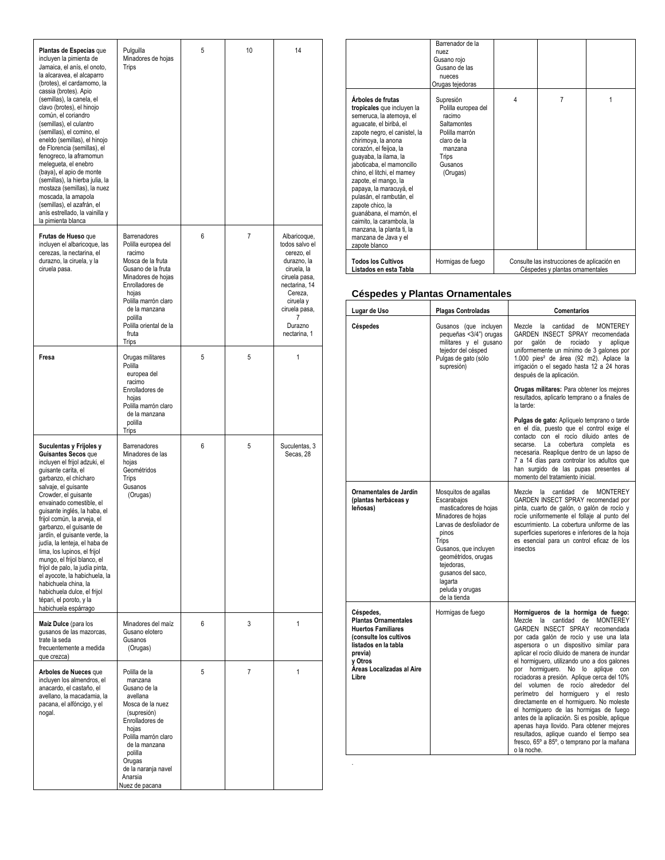| Plantas de Especias que<br>incluyen la pimienta de<br>Jamaica, el anís, el onoto,<br>la alcaravea, el alcaparro<br>(brotes), el cardamomo, la<br>cassia (brotes). Apio<br>(semillas), la canela, el<br>clavo (brotes), el hinojo<br>común, el coriandro<br>(semillas), el culantro<br>(semillas), el comino, el<br>eneldo (semillas), el hinojo<br>de Florencia (semillas), el<br>fenogreco, la aframomun<br>melegueta, el enebro<br>(baya), el apio de monte<br>(semillas), la hierba julia, la<br>mostaza (semillas), la nuez<br>moscada, la amapola<br>(semillas), el azafrán, el<br>anís estrellado, la vainilla y<br>la pimienta blanca | Pulguilla<br>Minadores de hojas<br>Trips                                                                                                                                                                                                   | 5 | 10             | 14                                                                                                                                                                                    |
|----------------------------------------------------------------------------------------------------------------------------------------------------------------------------------------------------------------------------------------------------------------------------------------------------------------------------------------------------------------------------------------------------------------------------------------------------------------------------------------------------------------------------------------------------------------------------------------------------------------------------------------------|--------------------------------------------------------------------------------------------------------------------------------------------------------------------------------------------------------------------------------------------|---|----------------|---------------------------------------------------------------------------------------------------------------------------------------------------------------------------------------|
| Frutas de Hueso que<br>incluyen el albaricoque, las<br>cerezas, la nectarina, el<br>durazno, la ciruela, y la<br>ciruela pasa.                                                                                                                                                                                                                                                                                                                                                                                                                                                                                                               | Barrenadores<br>Polilla europea del<br>racimo<br>Mosca de la fruta<br>Gusano de la fruta<br>Minadores de hojas<br>Enrolladores de<br>hojas<br>Polilla marrón claro<br>de la manzana<br>polilla<br>Polilla oriental de la<br>fruta<br>Trips | 6 | $\overline{7}$ | Albaricoque,<br>todos salvo el<br>cerezo, el<br>durazno, la<br>ciruela, la<br>ciruela pasa,<br>nectarina, 14<br>Cereza,<br>ciruela y<br>ciruela pasa,<br>7<br>Durazno<br>nectarina, 1 |
| Fresa                                                                                                                                                                                                                                                                                                                                                                                                                                                                                                                                                                                                                                        | Orugas militares<br>Polilla<br>europea del<br>racimo<br>Enrolladores de<br>hojas<br>Polilla marrón claro<br>de la manzana<br>polilla<br>Trips                                                                                              | 5 | 5              | 1                                                                                                                                                                                     |
| Suculentas y Frijoles y<br>Guisantes Secos que<br>incluyen el frijol adzuki, el<br>guisante carita, el<br>garbanzo, el chícharo<br>salvaje, el guisante<br>Crowder, el guisante<br>envainado comestible, el<br>guisante inglés, la haba, el<br>frijol común, la arveja, el<br>garbanzo, el guisante de<br>jardín, el guisante verde, la<br>judía, la lenteja, el haba de<br>lima, los lupinos, el frijol<br>mungo, el frijol blanco, el<br>frijol de palo, la judía pinta,<br>el ayocote, la habichuela, la<br>habichuela china, la<br>habichuela dulce, el frijol<br>tépari, el poroto, y la<br>habichuela espárrago                        | Barrenadores<br>Minadores de las<br>hojas<br>Geométridos<br>Trips<br>Gusanos<br>(Orugas)                                                                                                                                                   | 6 | 5              | Suculentas, 3<br>Secas, 28                                                                                                                                                            |
| Maíz Dulce (para los<br>qusanos de las mazorcas,<br>trate la seda<br>frecuentemente a medida<br>que crezca)                                                                                                                                                                                                                                                                                                                                                                                                                                                                                                                                  | Minadores del maíz<br>Gusano elotero<br>Gusanos<br>(Orugas)                                                                                                                                                                                | 6 | 3              | 1                                                                                                                                                                                     |
| Arboles de Nueces que<br>incluyen los almendros, el<br>anacardo, el castaño, el<br>avellano, la macadamia, la<br>pacana, el alfóncigo, y el<br>nogal.                                                                                                                                                                                                                                                                                                                                                                                                                                                                                        | Polilla de la<br>manzana<br>Gusano de la<br>avellana<br>Mosca de la nuez<br>(supresión)<br>Enrolladores de<br>hojas<br>Polilla marrón claro<br>de la manzana<br>polilla<br>Orugas<br>de la naranja navel<br>Anarsia<br>Nuez de pacana      | 5 | $\overline{7}$ | 1                                                                                                                                                                                     |

|                                                                                                                                                                                                                                                                                                                                                                                                                                                                                                               | Barrenador de la<br>nuez<br>Gusano rojo<br>Gusano de las<br>nueces<br>Orugas tejedoras                                                       |   |                                                                                |   |
|---------------------------------------------------------------------------------------------------------------------------------------------------------------------------------------------------------------------------------------------------------------------------------------------------------------------------------------------------------------------------------------------------------------------------------------------------------------------------------------------------------------|----------------------------------------------------------------------------------------------------------------------------------------------|---|--------------------------------------------------------------------------------|---|
| Árboles de frutas<br>tropicales que incluyen la<br>semeruca, la atemoya, el<br>aguacate, el biribá, el<br>zapote negro, el canistel, la<br>chirimoya, la anona<br>corazón, el feijoa, la<br>guayaba, la ilama, la<br>jaboticaba, el mamoncillo<br>chino, el litchi, el mamey<br>zapote, el mango, la<br>papaya, la maracuyá, el<br>pulasán, el rambután, el<br>zapote chico, la<br>quanábana, el mamón, el<br>caimito. la carambola, la<br>manzana, la planta ti, la<br>manzana de Java y el<br>zapote blanco | Supresión<br>Polilla europea del<br>racimo<br><b>Saltamontes</b><br>Polilla marrón<br>claro de la<br>manzana<br>Trips<br>Gusanos<br>(Orugas) | 4 | 7                                                                              | 1 |
| <b>Todos los Cultivos</b><br>Listados en esta Tabla                                                                                                                                                                                                                                                                                                                                                                                                                                                           | Hormigas de fuego                                                                                                                            |   | Consulte las instrucciones de aplicación en<br>Céspedes y plantas ornamentales |   |

#### **Céspedes y Plantas Ornamentales**

| Lugar de Uso                                                                                                                                                                        | Plagas Controladas                                                                                                                                                                                                                                                | Comentarios                                                                                                                                                                                                                                                                                                                                                                                                                                                                                                                                                                                                                                                                                                                                                                          |
|-------------------------------------------------------------------------------------------------------------------------------------------------------------------------------------|-------------------------------------------------------------------------------------------------------------------------------------------------------------------------------------------------------------------------------------------------------------------|--------------------------------------------------------------------------------------------------------------------------------------------------------------------------------------------------------------------------------------------------------------------------------------------------------------------------------------------------------------------------------------------------------------------------------------------------------------------------------------------------------------------------------------------------------------------------------------------------------------------------------------------------------------------------------------------------------------------------------------------------------------------------------------|
| Céspedes                                                                                                                                                                            | Gusanos (que incluyen<br>pequeñas <3/4") orugas<br>militares y el gusano<br>tejedor del césped<br>Pulgas de gato (sólo<br>supresión)                                                                                                                              | cantidad<br><b>MONTEREY</b><br>Mezcle<br>la<br>de<br>GARDEN INSECT SPRAY rrecomendada<br>rociado<br>por<br>galón<br>de<br><b>V</b><br>aplique<br>uniformemente un mínimo de 3 galones por<br>1.000 pies <sup>2</sup> de área (92 m2). Aplace la<br>irrigación o el segado hasta 12 a 24 horas<br>después de la aplicación.                                                                                                                                                                                                                                                                                                                                                                                                                                                           |
|                                                                                                                                                                                     |                                                                                                                                                                                                                                                                   | Orugas militares: Para obtener los mejores<br>resultados, aplicarlo temprano o a finales de<br>la tarde:                                                                                                                                                                                                                                                                                                                                                                                                                                                                                                                                                                                                                                                                             |
|                                                                                                                                                                                     |                                                                                                                                                                                                                                                                   | Pulgas de gato: Aplíquelo temprano o tarde<br>en el día, puesto que el control exige el<br>contacto con el rocío diluido antes de<br>secarse. La<br>cobertura<br>completa<br>es<br>necesaria. Reaplique dentro de un lapso de<br>7 a 14 días para controlar los adultos que<br>han surgido de las pupas presentes al<br>momento del tratamiento inicial.                                                                                                                                                                                                                                                                                                                                                                                                                             |
| Ornamentales de Jardín<br>(plantas herbáceas y<br>leñosas)                                                                                                                          | Mosquitos de agallas<br>Escarabajos<br>masticadores de hojas<br>Minadores de hojas<br>Larvas de desfoliador de<br>pinos<br>Trips<br>Gusanos, que incluyen<br>geométridos, orugas<br>tejedoras,<br>qusanos del saco.<br>lagarta<br>peluda y orugas<br>de la tienda | Mezcle<br>cantidad de<br><b>MONTEREY</b><br>la<br>GARDEN INSECT SPRAY recomendad por<br>pinta, cuarto de galón, o galón de rocío y<br>rocíe uniformemente el follaje al punto del<br>escurrimiento. La cobertura uniforme de las<br>superficies superiores e inferiores de la hoja<br>es esencial para un control eficaz de los<br>insectos                                                                                                                                                                                                                                                                                                                                                                                                                                          |
| Céspedes,<br><b>Plantas Ornamentales</b><br><b>Huertos Familiares</b><br>(consulte los cultivos<br>listados en la tabla<br>previa)<br>y Otros<br>Áreas Localizadas al Aire<br>Libre | Hormigas de fuego                                                                                                                                                                                                                                                 | Hormigueros de la hormiga de fuego:<br>Mezcle la<br>cantidad<br><b>MONTEREY</b><br>de<br>GARDEN INSECT SPRAY recomendada<br>por cada galón de rocío y use una lata<br>aspersora o un dispositivo similar para<br>aplicar el rocío diluido de manera de inundar<br>el hormiguero, utilizando uno a dos galones<br>hormiquero. No lo<br>aplique con<br>por<br>rociadoras a presión. Aplique cerca del 10%<br>del volumen de rocío alrededor del<br>perímetro del hormiguero y el resto<br>directamente en el hormiguero. No moleste<br>el hormiguero de las hormigas de fuego<br>antes de la aplicación. Si es posible, aplique<br>apenas haya llovido. Para obtener mejores<br>resultados, aplique cuando el tiempo sea<br>fresco, 65° a 85°, o temprano por la mañana<br>o la noche. |

.